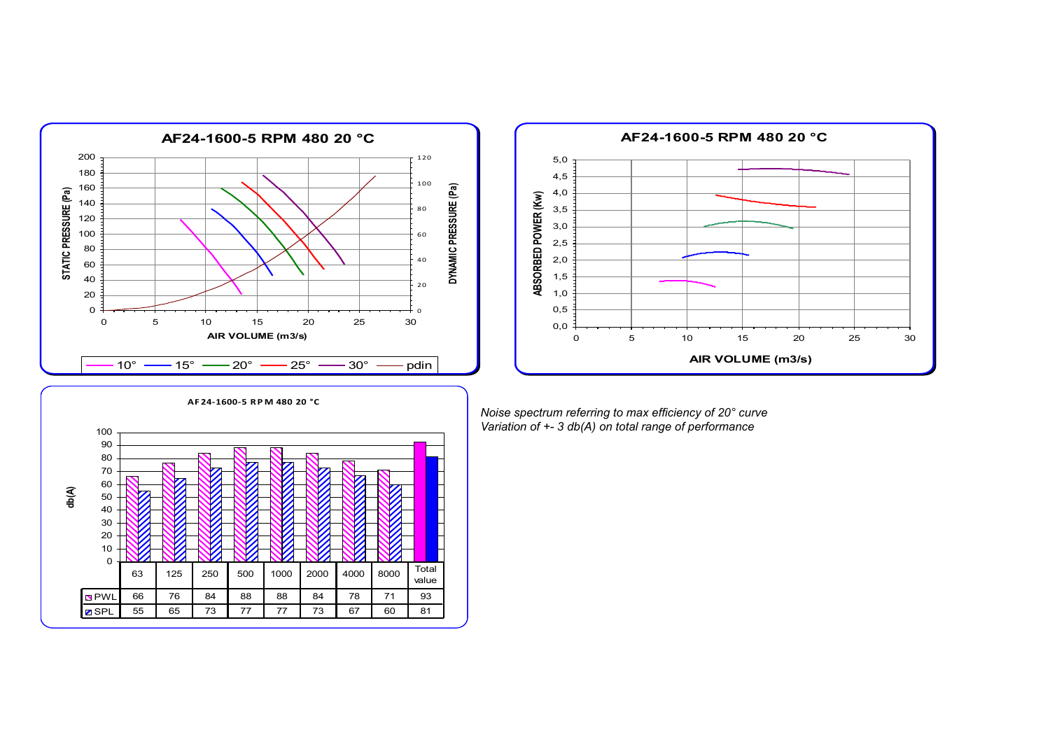



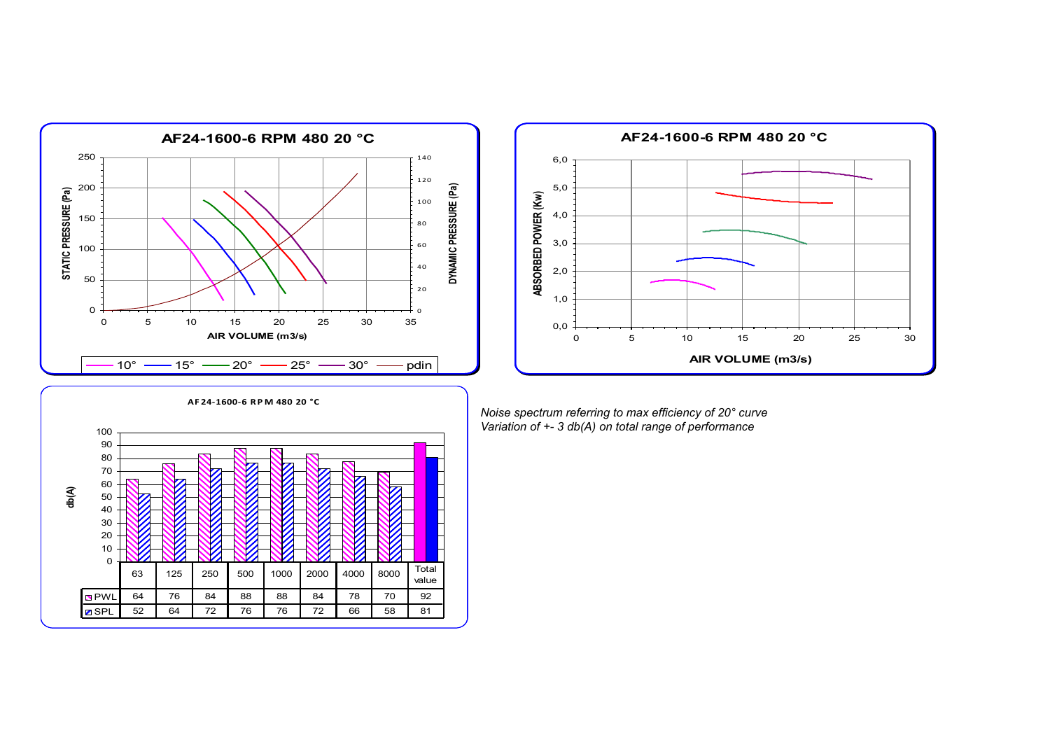



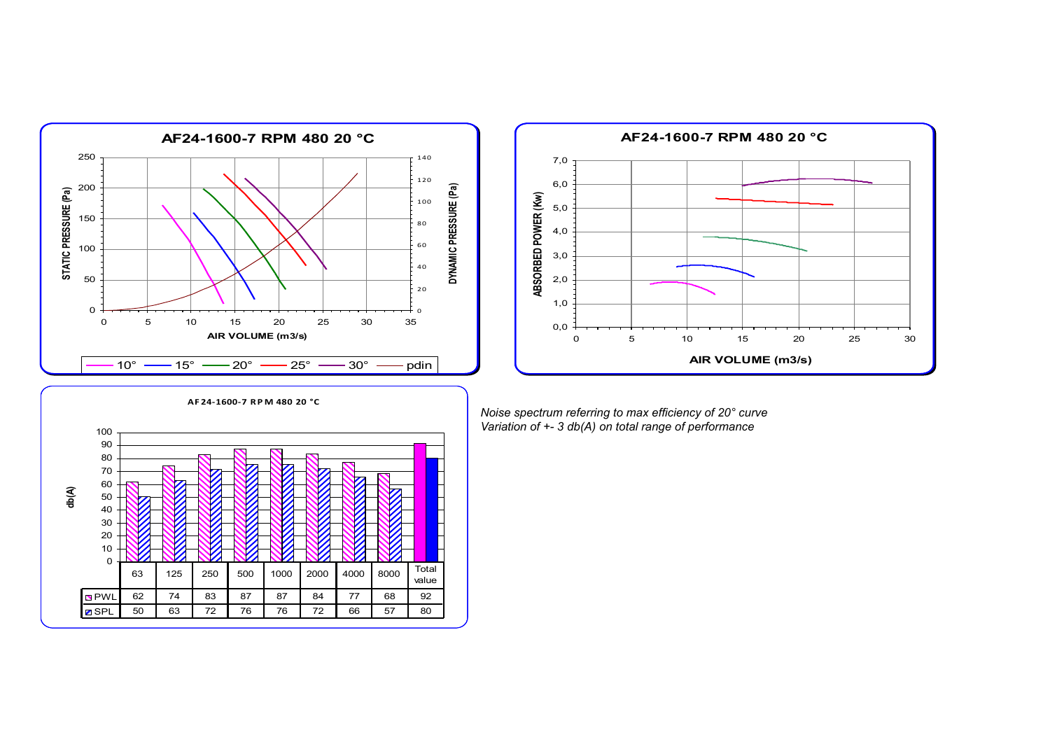



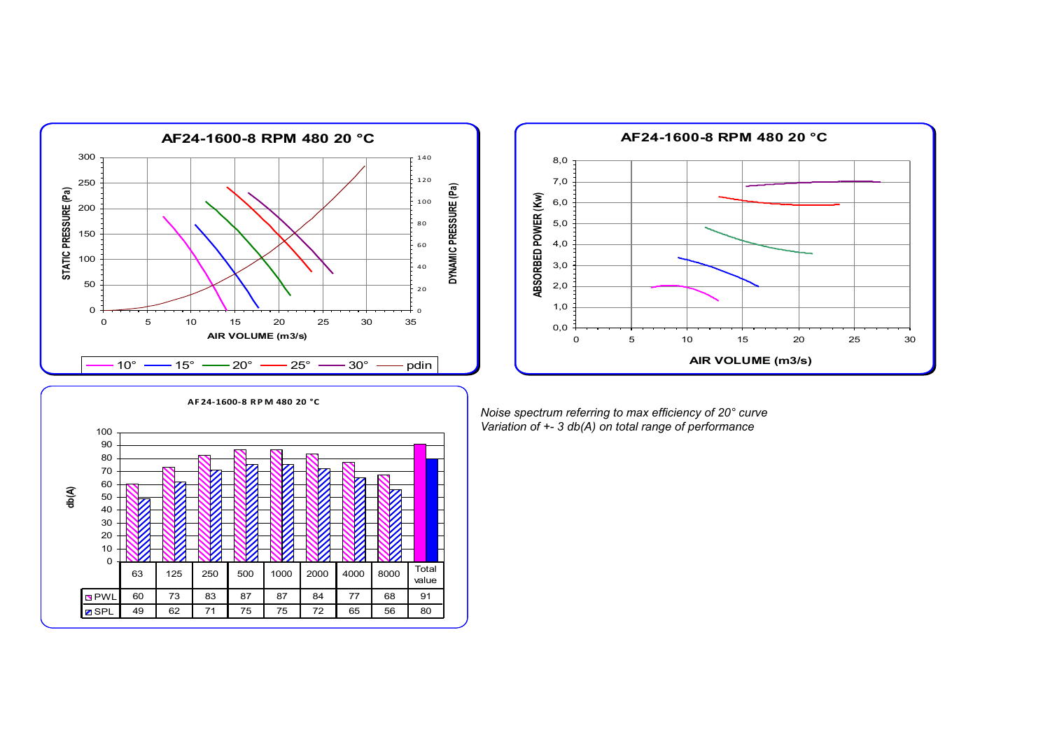



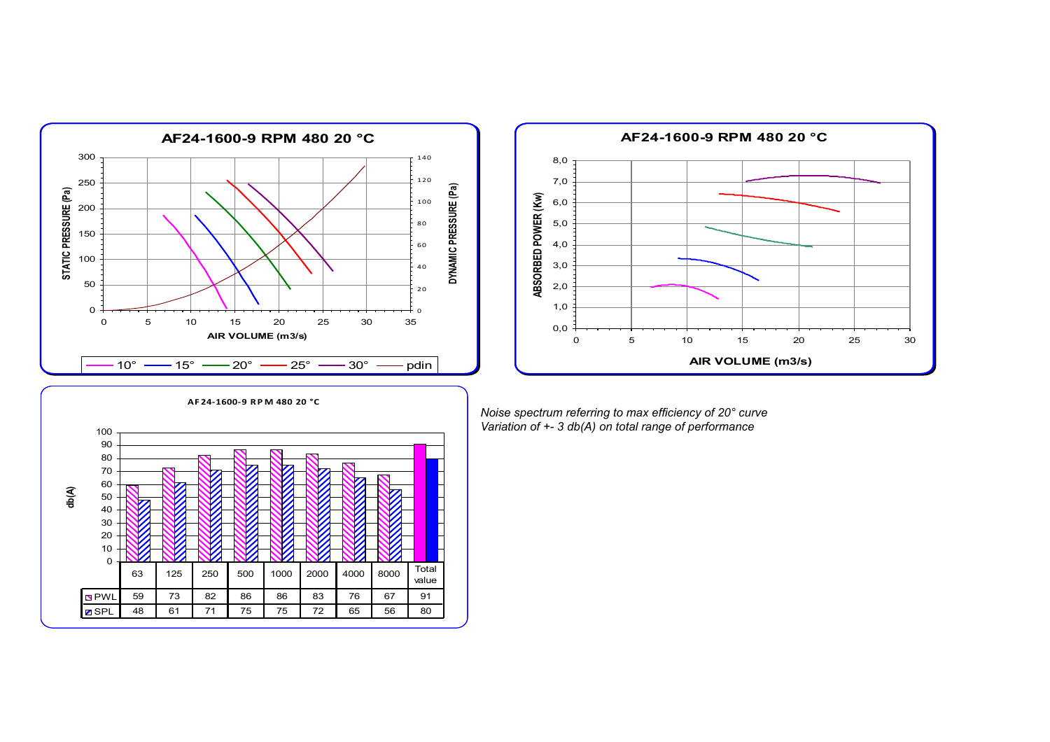



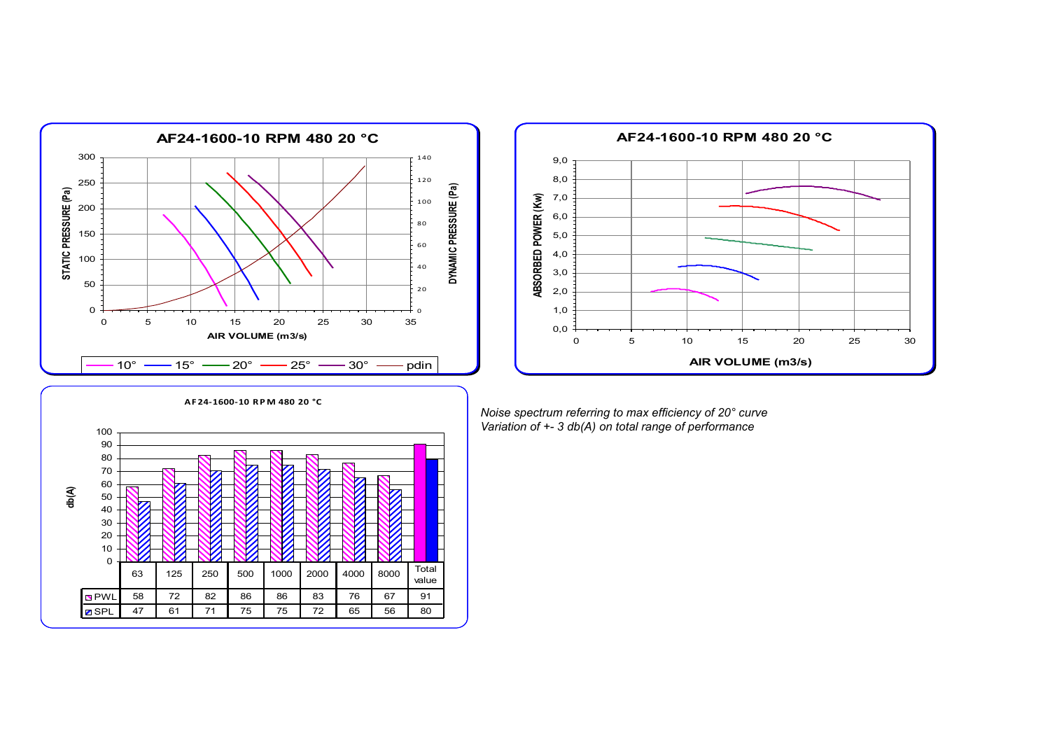